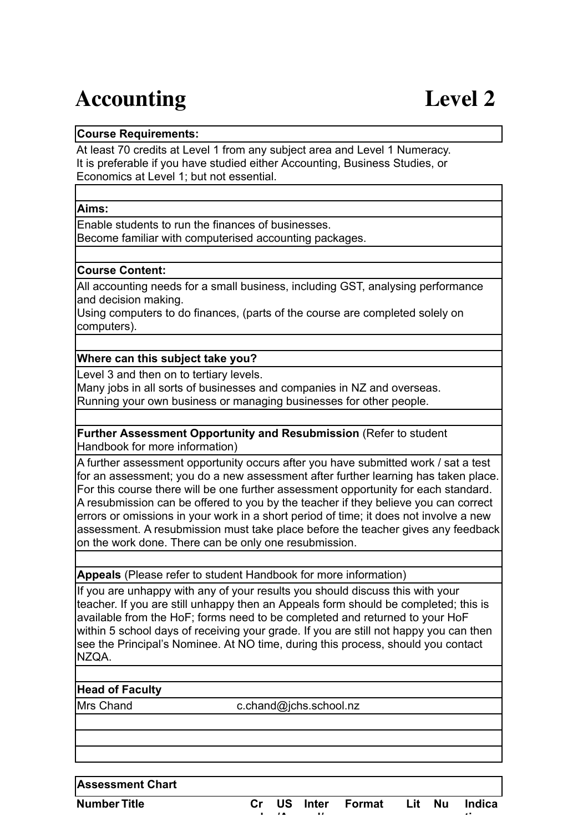# Accounting Level 2

### **Course Requirements:**

At least 70 credits at Level 1 from any subject area and Level 1 Numeracy. It is preferable if you have studied either Accounting, Business Studies, or Economics at Level 1; but not essential.

#### **Aims:**

Enable students to run the finances of businesses. Become familiar with computerised accounting packages.

#### **Course Content:**

All accounting needs for a small business, including GST, analysing performance and decision making.

Using computers to do finances, (parts of the course are completed solely on computers).

#### **Where can this subject take you?**

Level 3 and then on to tertiary levels.

Many jobs in all sorts of businesses and companies in NZ and overseas. Running your own business or managing businesses for other people.

**Further Assessment Opportunity and Resubmission** (Refer to student Handbook for more information)

A further assessment opportunity occurs after you have submitted work / sat a test for an assessment; you do a new assessment after further learning has taken place. For this course there will be one further assessment opportunity for each standard. A resubmission can be offered to you by the teacher if they believe you can correct errors or omissions in your work in a short period of time; it does not involve a new assessment. A resubmission must take place before the teacher gives any feedback on the work done. There can be only one resubmission.

**Appeals** (Please refer to student Handbook for more information)

**ed**

**/A**

If you are unhappy with any of your results you should discuss this with your teacher. If you are still unhappy then an Appeals form should be completed; this is available from the HoF; forms need to be completed and returned to your HoF within 5 school days of receiving your grade. If you are still not happy you can then see the Principal's Nominee. At NO time, during this process, should you contact NZQA.

#### **Head of Faculty**

Mrs Chand c.chand@jchs.school.nz

**Assessment Chart**

**Number Title Cr**

**US Inter nal/ Format**  Lit Nu **Indica**

**tive**